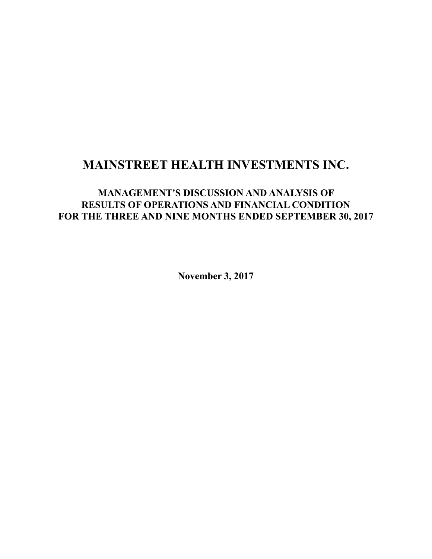# **MAINSTREET HEALTH INVESTMENTS INC.**

## **MANAGEMENT'S DISCUSSION AND ANALYSIS OF RESULTS OF OPERATIONS AND FINANCIAL CONDITION FOR THE THREE AND NINE MONTHS ENDED SEPTEMBER 30, 2017**

**November 3, 2017**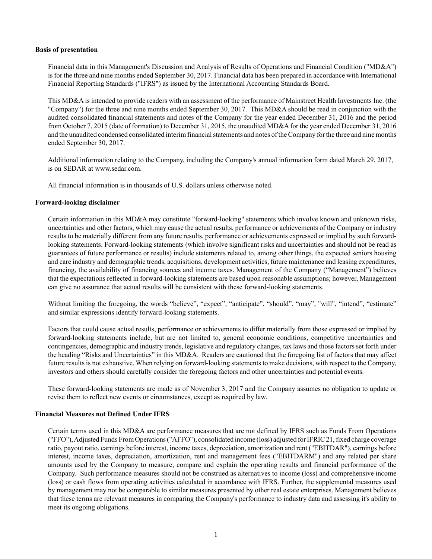#### **Basis of presentation**

Financial data in this Management's Discussion and Analysis of Results of Operations and Financial Condition ("MD&A") is for the three and nine months ended September 30, 2017. Financial data has been prepared in accordance with International Financial Reporting Standards ("IFRS") as issued by the International Accounting Standards Board.

This MD&A is intended to provide readers with an assessment of the performance of Mainstreet Health Investments Inc. (the "Company") for the three and nine months ended September 30, 2017. This MD&A should be read in conjunction with the audited consolidated financial statements and notes of the Company for the year ended December 31, 2016 and the period from October 7, 2015 (date of formation) to December 31, 2015, the unaudited MD&A for the year ended December 31, 2016 and the unaudited condensed consolidated interim financial statements and notes of the Company for the three and nine months ended September 30, 2017.

Additional information relating to the Company, including the Company's annual information form dated March 29, 2017, is on SEDAR at www.sedar.com.

All financial information is in thousands of U.S. dollars unless otherwise noted.

## **Forward-looking disclaimer**

Certain information in this MD&A may constitute "forward-looking" statements which involve known and unknown risks, uncertainties and other factors, which may cause the actual results, performance or achievements of the Company or industry results to be materially different from any future results, performance or achievements expressed or implied by such forwardlooking statements. Forward-looking statements (which involve significant risks and uncertainties and should not be read as guarantees of future performance or results) include statements related to, among other things, the expected seniors housing and care industry and demographic trends, acquisitions, development activities, future maintenance and leasing expenditures, financing, the availability of financing sources and income taxes. Management of the Company ("Management") believes that the expectations reflected in forward-looking statements are based upon reasonable assumptions; however, Management can give no assurance that actual results will be consistent with these forward-looking statements.

Without limiting the foregoing, the words "believe", "expect", "anticipate", "should", "may", "will", "intend", "estimate" and similar expressions identify forward-looking statements.

Factors that could cause actual results, performance or achievements to differ materially from those expressed or implied by forward-looking statements include, but are not limited to, general economic conditions, competitive uncertainties and contingencies, demographic and industry trends, legislative and regulatory changes, tax laws and those factors set forth under the heading "Risks and Uncertainties" in this MD&A. Readers are cautioned that the foregoing list of factors that may affect future results is not exhaustive. When relying on forward-looking statements to make decisions, with respect to the Company, investors and others should carefully consider the foregoing factors and other uncertainties and potential events.

These forward-looking statements are made as of November 3, 2017 and the Company assumes no obligation to update or revise them to reflect new events or circumstances, except as required by law.

#### **Financial Measures not Defined Under IFRS**

Certain terms used in this MD&A are performance measures that are not defined by IFRS such as Funds From Operations ("FFO"), Adjusted Funds From Operations ("AFFO"), consolidated income (loss) adjusted for IFRIC 21, fixed charge coverage ratio, payout ratio, earnings before interest, income taxes, depreciation, amortization and rent ("EBITDAR"), earnings before interest, income taxes, depreciation, amortization, rent and management fees ("EBITDARM") and any related per share amounts used by the Company to measure, compare and explain the operating results and financial performance of the Company. Such performance measures should not be construed as alternatives to income (loss) and comprehensive income (loss) or cash flows from operating activities calculated in accordance with IFRS. Further, the supplemental measures used by management may not be comparable to similar measures presented by other real estate enterprises. Management believes that these terms are relevant measures in comparing the Company's performance to industry data and assessing it's ability to meet its ongoing obligations.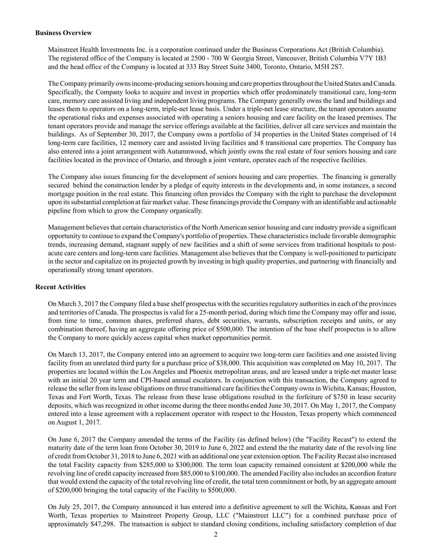#### **Business Overview**

Mainstreet Health Investments Inc. is a corporation continued under the Business Corporations Act (British Columbia). The registered office of the Company is located at 2500 - 700 W Georgia Street, Vancouver, British Columbia V7Y 1B3 and the head office of the Company is located at 333 Bay Street Suite 3400, Toronto, Ontario, M5H 2S7.

The Company primarily owns income-producing seniors housing and care properties throughout the United States and Canada. Specifically, the Company looks to acquire and invest in properties which offer predominately transitional care, long-term care, memory care assisted living and independent living programs. The Company generally owns the land and buildings and leases them to operators on a long-term, triple-net lease basis. Under a triple-net lease structure, the tenant operators assume the operational risks and expenses associated with operating a seniors housing and care facility on the leased premises. The tenant operators provide and manage the service offerings available at the facilities, deliver all care services and maintain the buildings. As of September 30, 2017, the Company owns a portfolio of 34 properties in the United States comprised of 14 long-term care facilities, 12 memory care and assisted living facilities and 8 transitional care properties. The Company has also entered into a joint arrangement with Autumnwood, which jointly owns the real estate of four seniors housing and care facilities located in the province of Ontario, and through a joint venture, operates each of the respective facilities.

The Company also issues financing for the development of seniors housing and care properties. The financing is generally secured behind the construction lender by a pledge of equity interests in the developments and, in some instances, a second mortgage position in the real estate. This financing often provides the Company with the right to purchase the development upon its substantial completion at fair market value. These financings provide the Company with an identifiable and actionable pipeline from which to grow the Company organically.

Management believes that certain characteristics of the North American senior housing and care industry provide a significant opportunity to continue to expand the Company's portfolio of properties. These characteristics include favorable demographic trends, increasing demand, stagnant supply of new facilities and a shift of some services from traditional hospitals to postacute care centers and long-term care facilities. Management also believes that the Company is well-positioned to participate in the sector and capitalize on its projected growth by investing in high quality properties, and partnering with financially and operationally strong tenant operators.

## **Recent Activities**

On March 3, 2017 the Company filed a base shelf prospectus with the securities regulatory authorities in each of the provinces and territories of Canada. The prospectus is valid for a 25-month period, during which time the Company may offer and issue, from time to time, common shares, preferred shares, debt securities, warrants, subscription receipts and units, or any combination thereof, having an aggregate offering price of \$500,000. The intention of the base shelf prospectus is to allow the Company to more quickly access capital when market opportunities permit.

On March 13, 2017, the Company entered into an agreement to acquire two long-term care facilities and one assisted living facility from an unrelated third party for a purchase price of \$38,000. This acquisition was completed on May 10, 2017. The properties are located within the Los Angeles and Phoenix metropolitan areas, and are leased under a triple-net master lease with an initial 20 year term and CPI-based annual escalators. In conjunction with this transaction, the Company agreed to release the seller from its lease obligations on three transitional care facilities the Company owns in Wichita, Kansas; Houston, Texas and Fort Worth, Texas. The release from these lease obligations resulted in the forfeiture of \$750 in lease security deposits, which was recognized in other income during the three months ended June 30, 2017. On May 1, 2017, the Company entered into a lease agreement with a replacement operator with respect to the Houston, Texas property which commenced on August 1, 2017.

On June 6, 2017 the Company amended the terms of the Facility (as defined below) (the "Facility Recast") to extend the maturity date of the term loan from October 30, 2019 to June 6, 2022 and extend the the maturity date of the revolving line of credit from October 31, 2018 to June 6, 2021 with an additional one year extension option. The Facility Recast also increased the total Facility capacity from \$285,000 to \$300,000. The term loan capacity remained consistent at \$200,000 while the revolving line of credit capacity increased from \$85,000 to \$100,000. The amended Facility also includes an accordion feature that would extend the capacity of the total revolving line of credit, the total term commitment or both, by an aggregate amount of \$200,000 bringing the total capacity of the Facility to \$500,000.

On July 25, 2017, the Company announced it has entered into a definitive agreement to sell the Wichita, Kansas and Fort Worth, Texas properties to Mainstreet Property Group, LLC ("Mainstreet LLC") for a combined purchase price of approximately \$47,298. The transaction is subject to standard closing conditions, including satisfactory completion of due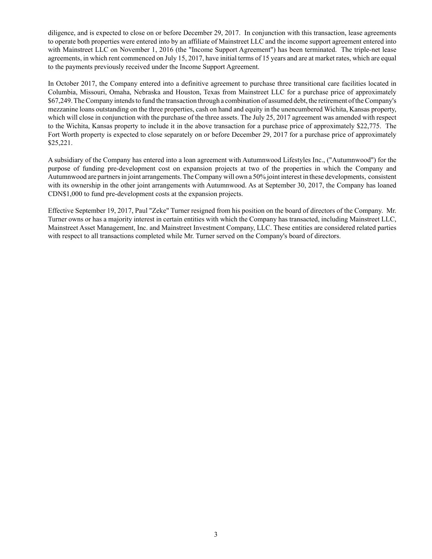diligence, and is expected to close on or before December 29, 2017. In conjunction with this transaction, lease agreements to operate both properties were entered into by an affiliate of Mainstreet LLC and the income support agreement entered into with Mainstreet LLC on November 1, 2016 (the "Income Support Agreement") has been terminated. The triple-net lease agreements, in which rent commenced on July 15, 2017, have initial terms of 15 years and are at market rates, which are equal to the payments previously received under the Income Support Agreement.

In October 2017, the Company entered into a definitive agreement to purchase three transitional care facilities located in Columbia, Missouri, Omaha, Nebraska and Houston, Texas from Mainstreet LLC for a purchase price of approximately \$67,249. The Company intends to fund the transaction through a combination of assumed debt, the retirement of the Company's mezzanine loans outstanding on the three properties, cash on hand and equity in the unencumbered Wichita, Kansas property, which will close in conjunction with the purchase of the three assets. The July 25, 2017 agreement was amended with respect to the Wichita, Kansas property to include it in the above transaction for a purchase price of approximately \$22,775. The Fort Worth property is expected to close separately on or before December 29, 2017 for a purchase price of approximately \$25,221.

A subsidiary of the Company has entered into a loan agreement with Autumnwood Lifestyles Inc., ("Autumnwood") for the purpose of funding pre-development cost on expansion projects at two of the properties in which the Company and Autumnwood are partners in joint arrangements. The Company will own a 50% joint interest in these developments, consistent with its ownership in the other joint arrangements with Autumnwood. As at September 30, 2017, the Company has loaned CDN\$1,000 to fund pre-development costs at the expansion projects.

Effective September 19, 2017, Paul "Zeke" Turner resigned from his position on the board of directors of the Company. Mr. Turner owns or has a majority interest in certain entities with which the Company has transacted, including Mainstreet LLC, Mainstreet Asset Management, Inc. and Mainstreet Investment Company, LLC. These entities are considered related parties with respect to all transactions completed while Mr. Turner served on the Company's board of directors.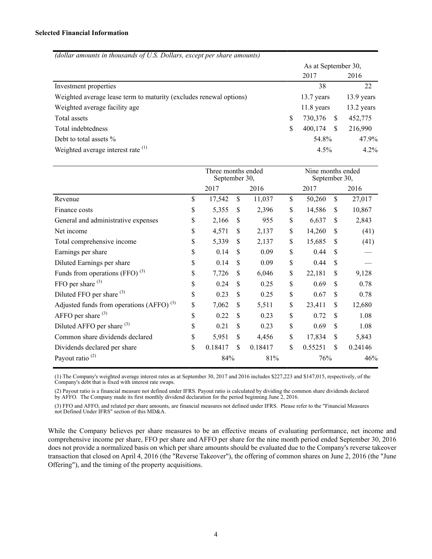| (dollar amounts in thousands of U.S. Dollars, except per share amounts) |                     |              |              |            |  |  |  |  |  |
|-------------------------------------------------------------------------|---------------------|--------------|--------------|------------|--|--|--|--|--|
|                                                                         | As at September 30, |              |              |            |  |  |  |  |  |
|                                                                         |                     | 2017         |              | 2016       |  |  |  |  |  |
| Investment properties                                                   |                     | 38           |              | 22         |  |  |  |  |  |
| Weighted average lease term to maturity (excludes renewal options)      |                     | 13.7 years   |              | 13.9 years |  |  |  |  |  |
| Weighted average facility age.                                          |                     | $11.8$ years |              | 13.2 years |  |  |  |  |  |
| Total assets                                                            | \$                  | 730,376      | <sup>8</sup> | 452,775    |  |  |  |  |  |
| Total indebtedness                                                      | \$                  | 400,174      | -S           | 216,990    |  |  |  |  |  |
| Debt to total assets %                                                  |                     | 54.8%        |              | 47.9%      |  |  |  |  |  |
| Weighted average interest rate <sup>(1)</sup>                           |                     | $4.5\%$      |              | $4.2\%$    |  |  |  |  |  |

|                                               | Three months ended<br>September 30, |               |     |         | Nine months ended<br>September 30, |         |  |
|-----------------------------------------------|-------------------------------------|---------------|-----|---------|------------------------------------|---------|--|
|                                               | 2017                                | 2016          |     | 2017    |                                    | 2016    |  |
| Revenue                                       | \$<br>17,542                        | \$<br>11,037  | \$  | 50,260  | \$                                 | 27,017  |  |
| Finance costs                                 | \$<br>5,355                         | \$<br>2,396   | \$  | 14,586  | \$                                 | 10,867  |  |
| General and administrative expenses           | \$<br>2,166                         | \$<br>955     | \$  | 6,637   | \$                                 | 2,843   |  |
| Net income                                    | \$<br>4,571                         | \$<br>2,137   | \$  | 14,260  | \$                                 | (41)    |  |
| Total comprehensive income                    | \$<br>5,339                         | \$<br>2,137   | \$  | 15,685  | \$                                 | (41)    |  |
| Earnings per share                            | \$<br>0.14                          | \$<br>0.09    | \$  | 0.44    | \$                                 |         |  |
| Diluted Earnings per share                    | \$<br>0.14                          | \$<br>0.09    | \$  | 0.44    | \$                                 |         |  |
| Funds from operations (FFO) $^{(3)}$          | \$<br>7,726                         | \$<br>6,046   | \$  | 22,181  | \$                                 | 9,128   |  |
| FFO per share $(3)$                           | \$<br>0.24                          | \$<br>0.25    | \$  | 0.69    | \$                                 | 0.78    |  |
| Diluted FFO per share <sup>(3)</sup>          | \$<br>0.23                          | \$<br>0.25    | \$  | 0.67    | \$                                 | 0.78    |  |
| Adjusted funds from operations $(AFFO)^{(3)}$ | \$<br>7,062                         | \$<br>5,511   | \$  | 23,411  | \$                                 | 12,680  |  |
| AFFO per share $(3)$                          | \$<br>0.22                          | \$<br>0.23    | \$  | 0.72    | \$                                 | 1.08    |  |
| Diluted AFFO per share <sup>(3)</sup>         | \$<br>0.21                          | \$<br>0.23    | \$  | 0.69    | \$                                 | 1.08    |  |
| Common share dividends declared               | \$<br>5,951                         | \$<br>4,456   | \$  | 17,834  | \$                                 | 5,843   |  |
| Dividends declared per share                  | \$<br>0.18417                       | \$<br>0.18417 | \$  | 0.55251 | \$                                 | 0.24146 |  |
| Payout ratio <sup>(2)</sup>                   | 84%                                 | 81%           | 76% |         | 46%                                |         |  |

(1) The Company's weighted average interest rates as at September 30, 2017 and 2016 includes \$227,223 and \$147,015, respectively, of the Company's debt that is fixed with interest rate swaps.

(2) Payout ratio is a financial measure not defined under IFRS. Payout ratio is calculated by dividing the common share dividends declared by AFFO. The Company made its first monthly dividend declaration for the period beginning June 2, 2016.

(3) FFO and AFFO, and related per share amounts, are financial measures not defined under IFRS. Please refer to the "Financial Measures not Defined Under IFRS" section of this MD&A.

While the Company believes per share measures to be an effective means of evaluating performance, net income and comprehensive income per share, FFO per share and AFFO per share for the nine month period ended September 30, 2016 does not provide a normalized basis on which per share amounts should be evaluated due to the Company's reverse takeover transaction that closed on April 4, 2016 (the "Reverse Takeover"), the offering of common shares on June 2, 2016 (the "June Offering"), and the timing of the property acquisitions.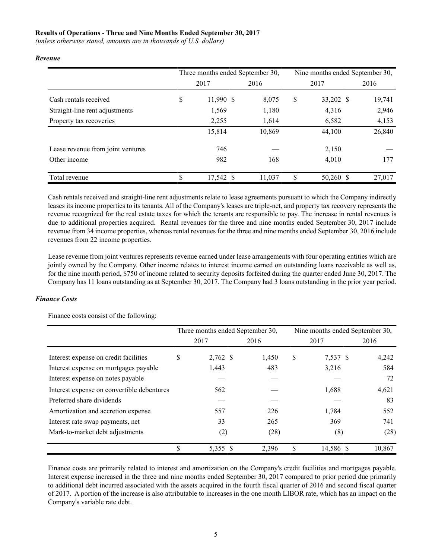## **Results of Operations - Three and Nine Months Ended September 30, 2017**

*(unless otherwise stated, amounts are in thousands of U.S. dollars)*

|                                   | Three months ended September 30, |        | Nine months ended September 30, |           |        |  |  |  |  |
|-----------------------------------|----------------------------------|--------|---------------------------------|-----------|--------|--|--|--|--|
|                                   | 2017                             | 2016   |                                 | 2017      | 2016   |  |  |  |  |
| Cash rentals received             | \$<br>11,990 \$                  | 8,075  | \$                              | 33,202 \$ | 19,741 |  |  |  |  |
| Straight-line rent adjustments    | 1,569                            | 1,180  |                                 | 4,316     | 2,946  |  |  |  |  |
| Property tax recoveries           | 2,255                            | 1,614  |                                 | 6,582     | 4,153  |  |  |  |  |
|                                   | 15,814                           | 10,869 |                                 | 44,100    | 26,840 |  |  |  |  |
| Lease revenue from joint ventures | 746                              |        |                                 | 2,150     |        |  |  |  |  |
| Other income                      | 982                              | 168    |                                 | 4,010     | 177    |  |  |  |  |
| Total revenue                     | \$<br>17,542 \$                  | 11.037 | S                               | 50,260 \$ | 27,017 |  |  |  |  |

#### *Revenue*

Cash rentals received and straight-line rent adjustments relate to lease agreements pursuant to which the Company indirectly leases its income properties to its tenants. All of the Company's leases are triple-net, and property tax recovery represents the revenue recognized for the real estate taxes for which the tenants are responsible to pay. The increase in rental revenues is due to additional properties acquired. Rental revenues for the three and nine months ended September 30, 2017 include revenue from 34 income properties, whereas rental revenues for the three and nine months ended September 30, 2016 include revenues from 22 income properties.

Lease revenue from joint ventures represents revenue earned under lease arrangements with four operating entities which are jointly owned by the Company. Other income relates to interest income earned on outstanding loans receivable as well as, for the nine month period, \$750 of income related to security deposits forfeited during the quarter ended June 30, 2017. The Company has 11 loans outstanding as at September 30, 2017. The Company had 3 loans outstanding in the prior year period.

#### *Finance Costs*

Finance costs consist of the following:

|                                            | Three months ended September 30, |       | Nine months ended September 30, |           |        |  |  |
|--------------------------------------------|----------------------------------|-------|---------------------------------|-----------|--------|--|--|
|                                            | 2017                             | 2016  |                                 | 2017      | 2016   |  |  |
| Interest expense on credit facilities      | \$<br>2,762 \$                   | 1,450 | \$                              | 7,537 \$  | 4,242  |  |  |
| Interest expense on mortgages payable      | 1,443                            | 483   |                                 | 3,216     | 584    |  |  |
| Interest expense on notes payable          |                                  |       |                                 |           | 72     |  |  |
| Interest expense on convertible debentures | 562                              |       |                                 | 1,688     | 4,621  |  |  |
| Preferred share dividends                  |                                  |       |                                 |           | 83     |  |  |
| Amortization and accretion expense         | 557                              | 226   |                                 | 1,784     | 552    |  |  |
| Interest rate swap payments, net           | 33                               | 265   |                                 | 369       | 741    |  |  |
| Mark-to-market debt adjustments            | (2)                              | (28)  |                                 | (8)       | (28)   |  |  |
|                                            | \$<br>5,355 \$                   | 2,396 | S                               | 14,586 \$ | 10,867 |  |  |

Finance costs are primarily related to interest and amortization on the Company's credit facilities and mortgages payable. Interest expense increased in the three and nine months ended September 30, 2017 compared to prior period due primarily to additional debt incurred associated with the assets acquired in the fourth fiscal quarter of 2016 and second fiscal quarter of 2017. A portion of the increase is also attributable to increases in the one month LIBOR rate, which has an impact on the Company's variable rate debt.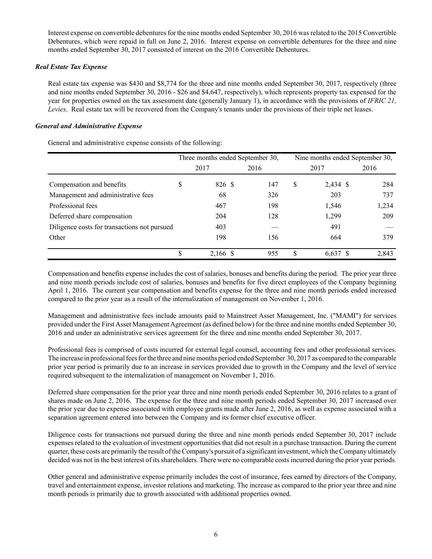Interest expense on convertible debentures for the nine months ended September 30, 2016 was related to the 2015 Convertible Debentures, which were repaid in full on June 2, 2016. Interest expense on convertible debentures for the three and nine months ended September 30, 2017 consisted of interest on the 2016 Convertible Debentures.

## *Real Estate Tax Expense*

Real estate tax expense was \$430 and \$8,774 for the three and nine months ended September 30, 2017, respectively (three and nine months ended September 30, 2016 - \$26 and \$4,647, respectively), which represents property tax expensed for the year for properties owned on the tax assessment date (generally January 1), in accordance with the provisions of *IFRIC 21, Levies*. Real estate tax will be recovered from the Company's tenants under the provisions of their triple net leases.

## *General and Administrative Expense*

General and administrative expense consists of the following:

|                                              | Three months ended September 30, |  |      | Nine months ended September 30, |            |       |  |  |  |
|----------------------------------------------|----------------------------------|--|------|---------------------------------|------------|-------|--|--|--|
|                                              | 2017                             |  | 2016 |                                 | 2017       | 2016  |  |  |  |
| Compensation and benefits                    | \$<br>826 \$                     |  | 147  | S                               | 2,434 \$   | 284   |  |  |  |
| Management and administrative fees           | 68                               |  | 326  |                                 | 203        | 737   |  |  |  |
| Professional fees                            | 467                              |  | 198  |                                 | 1,546      | 1,234 |  |  |  |
| Deferred share compensation                  | 204                              |  | 128  |                                 | 1,299      | 209   |  |  |  |
| Diligence costs for transactions not pursued | 403                              |  |      |                                 | 491        |       |  |  |  |
| Other                                        | 198                              |  | 156  |                                 | 664        | 379   |  |  |  |
|                                              | \$<br>2,166 \$                   |  | 955  | \$                              | $6,637$ \$ | 2,843 |  |  |  |

Compensation and benefits expense includes the cost of salaries, bonuses and benefits during the period. The prior year three and nine month periods include cost of salaries, bonuses and benefits for five direct employees of the Company beginning April 1, 2016. The current year compensation and benefits expense for the three and nine month periods ended increased compared to the prior year as a result of the internalization of management on November 1, 2016.

Management and administrative fees include amounts paid to Mainstreet Asset Management, Inc. ("MAMI") for services provided under the First Asset Management Agreement (as defined below) for the three and nine months ended September 30, 2016 and under an administrative services agreement for the three and nine months ended September 30, 2017.

Professional fees is comprised of costs incurred for external legal counsel, accounting fees and other professional services. The increase in professional fees for the three and nine months period ended September 30, 2017 as compared to the comparable prior year period is primarily due to an increase in services provided due to growth in the Company and the level of service required subsequent to the internalization of management on November 1, 2016.

Deferred share compensation for the prior year three and nine month periods ended September 30, 2016 relates to a grant of shares made on June 2, 2016. The expense for the three and nine month periods ended September 30, 2017 increased over the prior year due to expense associated with employee grants made after June 2, 2016, as well as expense associated with a separation agreement entered into between the Company and its former chief executive officer.

Diligence costs for transactions not pursued during the three and nine month periods ended September 30, 2017 include expenses related to the evaluation of investment opportunities that did not result in a purchase transaction. During the current quarter, these costs are primarily the result of the Company's pursuit of a significant investment, which the Company ultimately decided was not in the best interest of its shareholders. There were no comparable costs incurred during the prior year periods.

Other general and administrative expense primarily includes the cost of insurance, fees earned by directors of the Company, travel and entertainment expense, investor relations and marketing. The increase as compared to the prior year three and nine month periods is primarily due to growth associated with additional properties owned.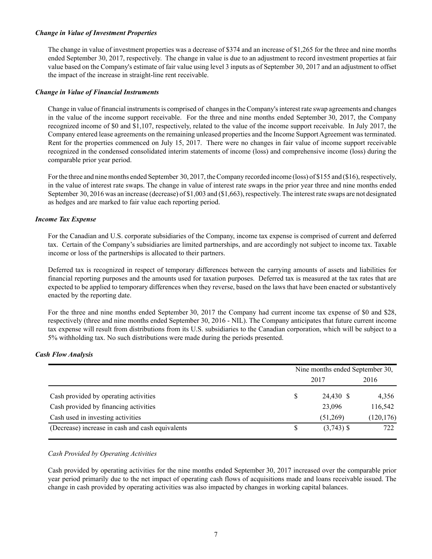## *Change in Value of Investment Properties*

The change in value of investment properties was a decrease of \$374 and an increase of \$1,265 for the three and nine months ended September 30, 2017, respectively. The change in value is due to an adjustment to record investment properties at fair value based on the Company's estimate of fair value using level 3 inputs as of September 30, 2017 and an adjustment to offset the impact of the increase in straight-line rent receivable.

## *Change in Value of Financial Instruments*

Change in value of financial instruments is comprised of changes in the Company's interest rate swap agreements and changes in the value of the income support receivable. For the three and nine months ended September 30, 2017, the Company recognized income of \$0 and \$1,107, respectively, related to the value of the income support receivable. In July 2017, the Company entered lease agreements on the remaining unleased properties and the Income Support Agreement was terminated. Rent for the properties commenced on July 15, 2017. There were no changes in fair value of income support receivable recognized in the condensed consolidated interim statements of income (loss) and comprehensive income (loss) during the comparable prior year period.

For the three and nine months ended September 30, 2017, the Company recorded income (loss) of \$155 and (\$16), respectively, in the value of interest rate swaps. The change in value of interest rate swaps in the prior year three and nine months ended September 30, 2016 was an increase (decrease) of \$1,003 and (\$1,663), respectively. The interest rate swaps are not designated as hedges and are marked to fair value each reporting period.

## *Income Tax Expense*

For the Canadian and U.S. corporate subsidiaries of the Company, income tax expense is comprised of current and deferred tax. Certain of the Company's subsidiaries are limited partnerships, and are accordingly not subject to income tax. Taxable income or loss of the partnerships is allocated to their partners.

Deferred tax is recognized in respect of temporary differences between the carrying amounts of assets and liabilities for financial reporting purposes and the amounts used for taxation purposes. Deferred tax is measured at the tax rates that are expected to be applied to temporary differences when they reverse, based on the laws that have been enacted or substantively enacted by the reporting date.

For the three and nine months ended September 30, 2017 the Company had current income tax expense of \$0 and \$28, respectively (three and nine months ended September 30, 2016 - NIL). The Company anticipates that future current income tax expense will result from distributions from its U.S. subsidiaries to the Canadian corporation, which will be subject to a 5% withholding tax. No such distributions were made during the periods presented.

## *Cash Flow Analysis*

|                                                  |      | Nine months ended September 30, |            |  |  |  |  |  |  |
|--------------------------------------------------|------|---------------------------------|------------|--|--|--|--|--|--|
|                                                  | 2017 |                                 |            |  |  |  |  |  |  |
| Cash provided by operating activities            |      | 24,430 \$                       | 4,356      |  |  |  |  |  |  |
| Cash provided by financing activities            |      | 23,096                          | 116,542    |  |  |  |  |  |  |
| Cash used in investing activities                |      | (51,269)                        | (120, 176) |  |  |  |  |  |  |
| (Decrease) increase in cash and cash equivalents |      | $(3,743)$ \$                    | 722        |  |  |  |  |  |  |

## *Cash Provided by Operating Activities*

Cash provided by operating activities for the nine months ended September 30, 2017 increased over the comparable prior year period primarily due to the net impact of operating cash flows of acquisitions made and loans receivable issued. The change in cash provided by operating activities was also impacted by changes in working capital balances.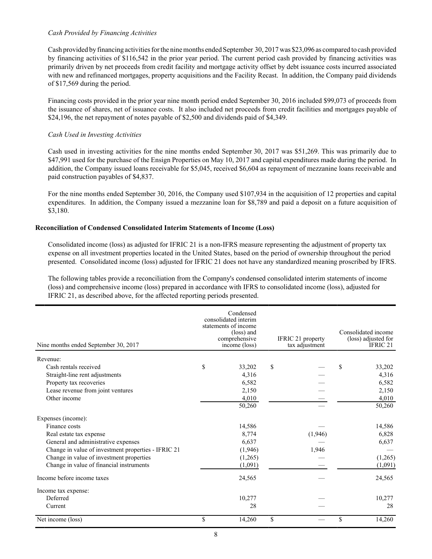## *Cash Provided by Financing Activities*

Cash provided by financing activities for the nine months ended September 30, 2017 was \$23,096 as compared to cash provided by financing activities of \$116,542 in the prior year period. The current period cash provided by financing activities was primarily driven by net proceeds from credit facility and mortgage activity offset by debt issuance costs incurred associated with new and refinanced mortgages, property acquisitions and the Facility Recast. In addition, the Company paid dividends of \$17,569 during the period.

Financing costs provided in the prior year nine month period ended September 30, 2016 included \$99,073 of proceeds from the issuance of shares, net of issuance costs. It also included net proceeds from credit facilities and mortgages payable of \$24,196, the net repayment of notes payable of \$2,500 and dividends paid of \$4,349.

## *Cash Used in Investing Activities*

Cash used in investing activities for the nine months ended September 30, 2017 was \$51,269. This was primarily due to \$47,991 used for the purchase of the Ensign Properties on May 10, 2017 and capital expenditures made during the period. In addition, the Company issued loans receivable for \$5,045, received \$6,604 as repayment of mezzanine loans receivable and paid construction payables of \$4,837.

For the nine months ended September 30, 2016, the Company used \$107,934 in the acquisition of 12 properties and capital expenditures. In addition, the Company issued a mezzanine loan for \$8,789 and paid a deposit on a future acquisition of \$3,180.

## **Reconciliation of Condensed Consolidated Interim Statements of Income (Loss)**

Consolidated income (loss) as adjusted for IFRIC 21 is a non-IFRS measure representing the adjustment of property tax expense on all investment properties located in the United States, based on the period of ownership throughout the period presented. Consolidated income (loss) adjusted for IFRIC 21 does not have any standardized meaning proscribed by IFRS.

The following tables provide a reconciliation from the Company's condensed consolidated interim statements of income (loss) and comprehensive income (loss) prepared in accordance with IFRS to consolidated income (loss), adjusted for IFRIC 21, as described above, for the affected reporting periods presented.

| Nine months ended September 30, 2017                | Condensed<br>consolidated interim<br>statements of income<br>(loss) and<br>comprehensive<br>income (loss) | IFRIC 21 property<br>tax adjustment | Consolidated income<br>(loss) adjusted for<br>IFRIC <sub>21</sub> |
|-----------------------------------------------------|-----------------------------------------------------------------------------------------------------------|-------------------------------------|-------------------------------------------------------------------|
| Revenue:                                            |                                                                                                           |                                     |                                                                   |
| Cash rentals received                               | \$<br>33,202                                                                                              | \$                                  | \$<br>33,202                                                      |
| Straight-line rent adjustments                      | 4,316                                                                                                     |                                     | 4,316                                                             |
| Property tax recoveries                             | 6,582                                                                                                     |                                     | 6,582                                                             |
| Lease revenue from joint ventures                   | 2,150                                                                                                     |                                     | 2,150                                                             |
| Other income                                        | 4,010                                                                                                     |                                     | 4,010                                                             |
|                                                     | 50,260                                                                                                    |                                     | 50,260                                                            |
| Expenses (income):                                  |                                                                                                           |                                     |                                                                   |
| Finance costs                                       | 14,586                                                                                                    |                                     | 14,586                                                            |
| Real estate tax expense                             | 8,774                                                                                                     | (1,946)                             | 6,828                                                             |
| General and administrative expenses                 | 6,637                                                                                                     |                                     | 6,637                                                             |
| Change in value of investment properties - IFRIC 21 | (1,946)                                                                                                   | 1,946                               |                                                                   |
| Change in value of investment properties            | (1,265)                                                                                                   |                                     | (1,265)                                                           |
| Change in value of financial instruments            | (1,091)                                                                                                   |                                     | (1,091)                                                           |
| Income before income taxes                          | 24,565                                                                                                    |                                     | 24,565                                                            |
| Income tax expense:                                 |                                                                                                           |                                     |                                                                   |
| Deferred                                            | 10,277                                                                                                    |                                     | 10,277                                                            |
| Current                                             | 28                                                                                                        |                                     | 28                                                                |
| Net income (loss)                                   | \$<br>14,260                                                                                              | \$                                  | \$<br>14,260                                                      |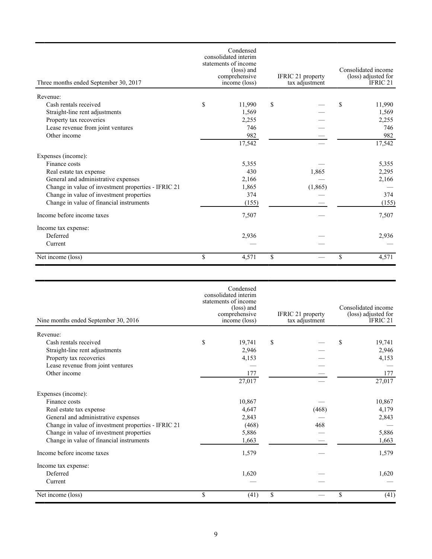| Three months ended September 30, 2017               | Condensed<br>consolidated interim<br>statements of income<br>(loss) and<br>comprehensive<br>income (loss) | IFRIC 21 property<br>tax adjustment | Consolidated income<br>(loss) adjusted for<br>IFRIC 21 |
|-----------------------------------------------------|-----------------------------------------------------------------------------------------------------------|-------------------------------------|--------------------------------------------------------|
| Revenue:                                            |                                                                                                           |                                     |                                                        |
| Cash rentals received                               | \$<br>11,990                                                                                              | \$                                  | \$<br>11,990                                           |
| Straight-line rent adjustments                      | 1,569                                                                                                     |                                     | 1,569                                                  |
| Property tax recoveries                             | 2,255                                                                                                     |                                     | 2,255                                                  |
| Lease revenue from joint ventures                   | 746                                                                                                       |                                     | 746                                                    |
| Other income                                        | 982                                                                                                       |                                     | 982                                                    |
|                                                     | 17,542                                                                                                    |                                     | 17,542                                                 |
| Expenses (income):                                  |                                                                                                           |                                     |                                                        |
| Finance costs                                       | 5,355                                                                                                     |                                     | 5,355                                                  |
| Real estate tax expense                             | 430                                                                                                       | 1,865                               | 2,295                                                  |
| General and administrative expenses                 | 2,166                                                                                                     |                                     | 2,166                                                  |
| Change in value of investment properties - IFRIC 21 | 1,865                                                                                                     | (1, 865)                            |                                                        |
| Change in value of investment properties            | 374                                                                                                       |                                     | 374                                                    |
| Change in value of financial instruments            | (155)                                                                                                     |                                     | (155)                                                  |
| Income before income taxes                          | 7,507                                                                                                     |                                     | 7,507                                                  |
| Income tax expense:                                 |                                                                                                           |                                     |                                                        |
| Deferred                                            | 2,936                                                                                                     |                                     | 2,936                                                  |
| Current                                             |                                                                                                           |                                     |                                                        |
| Net income (loss)                                   | \$<br>4,571                                                                                               | \$                                  | \$<br>4,571                                            |

| Nine months ended September 30, 2016                | Condensed<br>consolidated interim<br>statements of income<br>(loss) and<br>comprehensive<br>income (loss) | IFRIC 21 property<br>tax adjustment | Consolidated income<br>(loss) adjusted for<br>IFRIC <sub>21</sub> |
|-----------------------------------------------------|-----------------------------------------------------------------------------------------------------------|-------------------------------------|-------------------------------------------------------------------|
| Revenue:                                            |                                                                                                           |                                     |                                                                   |
| Cash rentals received                               | \$<br>19,741                                                                                              | \$                                  | \$<br>19,741                                                      |
| Straight-line rent adjustments                      | 2,946                                                                                                     |                                     | 2,946                                                             |
| Property tax recoveries                             | 4,153                                                                                                     |                                     | 4,153                                                             |
| Lease revenue from joint ventures                   |                                                                                                           |                                     |                                                                   |
| Other income                                        | 177                                                                                                       |                                     | 177                                                               |
|                                                     | $\overline{27,017}$                                                                                       |                                     | 27,017                                                            |
| Expenses (income):                                  |                                                                                                           |                                     |                                                                   |
| Finance costs                                       | 10,867                                                                                                    |                                     | 10,867                                                            |
| Real estate tax expense                             | 4,647                                                                                                     | (468)                               | 4,179                                                             |
| General and administrative expenses                 | 2,843                                                                                                     |                                     | 2,843                                                             |
| Change in value of investment properties - IFRIC 21 | (468)                                                                                                     | 468                                 |                                                                   |
| Change in value of investment properties            | 5,886                                                                                                     |                                     | 5,886                                                             |
| Change in value of financial instruments            | 1,663                                                                                                     |                                     | 1,663                                                             |
| Income before income taxes                          | 1,579                                                                                                     |                                     | 1,579                                                             |
| Income tax expense:                                 |                                                                                                           |                                     |                                                                   |
| Deferred                                            | 1,620                                                                                                     |                                     | 1,620                                                             |
| Current                                             |                                                                                                           |                                     |                                                                   |
| Net income (loss)                                   | \$<br>(41)                                                                                                | \$                                  | \$<br>(41)                                                        |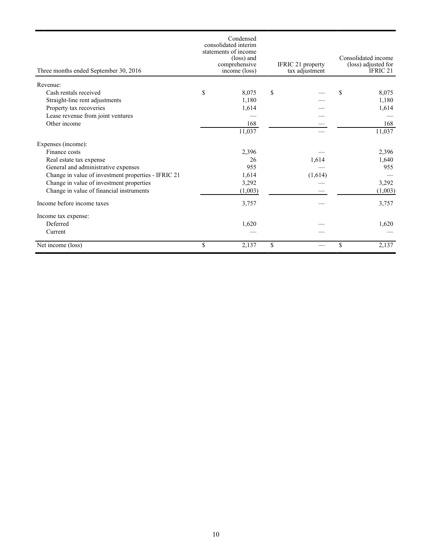| Three months ended September 30, 2016               | Condensed<br>consolidated interim<br>statements of income<br>(loss) and<br>comprehensive<br>income (loss) | IFRIC 21 property<br>tax adjustment | Consolidated income<br>(loss) adjusted for<br>IFRIC 21 |
|-----------------------------------------------------|-----------------------------------------------------------------------------------------------------------|-------------------------------------|--------------------------------------------------------|
| Revenue:                                            |                                                                                                           |                                     |                                                        |
| Cash rentals received                               | \$<br>8,075                                                                                               | \$                                  | \$<br>8,075                                            |
| Straight-line rent adjustments                      | 1,180                                                                                                     |                                     | 1,180                                                  |
| Property tax recoveries                             | 1,614                                                                                                     |                                     | 1,614                                                  |
| Lease revenue from joint ventures                   |                                                                                                           |                                     |                                                        |
| Other income                                        | 168                                                                                                       |                                     | 168                                                    |
|                                                     | 11,037                                                                                                    |                                     | 11,037                                                 |
| Expenses (income):                                  |                                                                                                           |                                     |                                                        |
| Finance costs                                       | 2,396                                                                                                     |                                     | 2,396                                                  |
| Real estate tax expense                             | 26                                                                                                        | 1,614                               | 1,640                                                  |
| General and administrative expenses                 | 955                                                                                                       |                                     | 955                                                    |
| Change in value of investment properties - IFRIC 21 | 1,614                                                                                                     | (1,614)                             |                                                        |
| Change in value of investment properties            | 3,292                                                                                                     |                                     | 3,292                                                  |
| Change in value of financial instruments            | (1,003)                                                                                                   |                                     | (1,003)                                                |
| Income before income taxes                          | 3,757                                                                                                     |                                     | 3,757                                                  |
| Income tax expense:                                 |                                                                                                           |                                     |                                                        |
| Deferred                                            | 1,620                                                                                                     |                                     | 1,620                                                  |
| Current                                             |                                                                                                           |                                     |                                                        |
| Net income (loss)                                   | \$<br>2,137                                                                                               | \$                                  | \$<br>2,137                                            |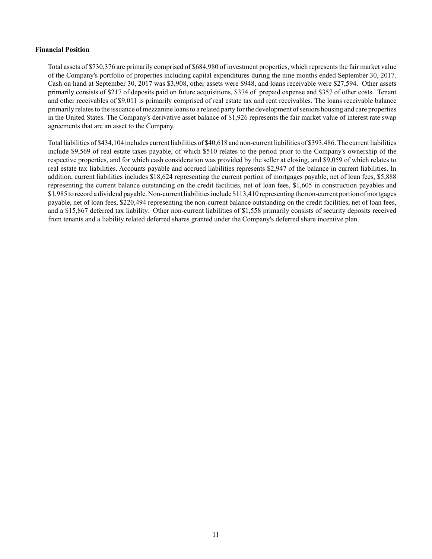## **Financial Position**

Total assets of \$730,376 are primarily comprised of \$684,980 of investment properties, which represents the fair market value of the Company's portfolio of properties including capital expenditures during the nine months ended September 30, 2017. Cash on hand at September 30, 2017 was \$3,908, other assets were \$948, and loans receivable were \$27,594. Other assets primarily consists of \$217 of deposits paid on future acquisitions, \$374 of prepaid expense and \$357 of other costs. Tenant and other receivables of \$9,011 is primarily comprised of real estate tax and rent receivables. The loans receivable balance primarily relates to the issuance of mezzanine loans to a related party for the development of seniors housing and care properties in the United States. The Company's derivative asset balance of \$1,926 represents the fair market value of interest rate swap agreements that are an asset to the Company.

Total liabilities of \$434,104 includes current liabilities of \$40,618 and non-current liabilities of \$393,486. The current liabilities include \$9,569 of real estate taxes payable, of which \$510 relates to the period prior to the Company's ownership of the respective properties, and for which cash consideration was provided by the seller at closing, and \$9,059 of which relates to real estate tax liabilities. Accounts payable and accrued liabilities represents \$2,947 of the balance in current liabilities. In addition, current liabilities includes \$18,624 representing the current portion of mortgages payable, net of loan fees, \$5,888 representing the current balance outstanding on the credit facilities, net of loan fees, \$1,605 in construction payables and \$1,985 to record a dividend payable. Non-current liabilities include \$113,410 representing the non-current portion of mortgages payable, net of loan fees, \$220,494 representing the non-current balance outstanding on the credit facilities, net of loan fees, and a \$15,867 deferred tax liability. Other non-current liabilities of \$1,558 primarily consists of security deposits received from tenants and a liability related deferred shares granted under the Company's deferred share incentive plan.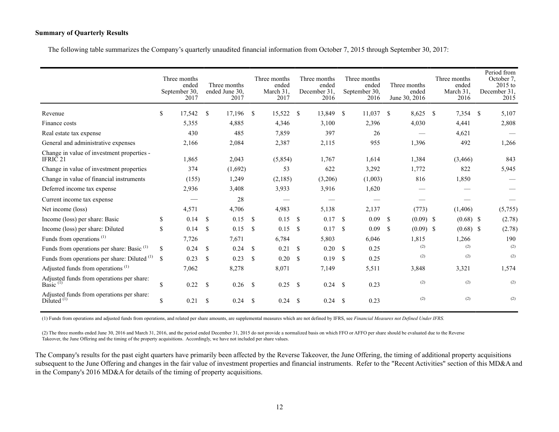## **Summary of Quarterly Results**

The following table summarizes the Company's quarterly unaudited financial information from October 7, 2015 through September 30, 2017:

|                                                                   |               | Three months<br>ended<br>September 30.<br>2017 |               | Three months<br>ended June 30.<br>2017 |               | Three months<br>ended<br>March 31.<br>2017 |               | Three months<br>ended<br>December 31.<br>2016 |               |         |     |             |     |             |    |         |  |  |  |  |  |  |  |  |  |  |  | Three months<br>ended<br>September 30.<br>2016 |  | Three months<br>ended<br>June 30, 2016 |  | Three months<br>ended<br>March 31.<br>2016 |  | Period from<br>October 7.<br>2015 to<br>December 31.<br>2015 |
|-------------------------------------------------------------------|---------------|------------------------------------------------|---------------|----------------------------------------|---------------|--------------------------------------------|---------------|-----------------------------------------------|---------------|---------|-----|-------------|-----|-------------|----|---------|--|--|--|--|--|--|--|--|--|--|--|------------------------------------------------|--|----------------------------------------|--|--------------------------------------------|--|--------------------------------------------------------------|
| Revenue                                                           | \$            | 17,542                                         | <sup>\$</sup> | 17,196                                 | <sup>\$</sup> | 15,522                                     | -S            | 13,849                                        | -S            | 11,037  | - S | 8,625       | - S | 7,354       | -S | 5,107   |  |  |  |  |  |  |  |  |  |  |  |                                                |  |                                        |  |                                            |  |                                                              |
| Finance costs                                                     |               | 5,355                                          |               | 4,885                                  |               | 4,346                                      |               | 3,100                                         |               | 2,396   |     | 4,030       |     | 4,441       |    | 2,808   |  |  |  |  |  |  |  |  |  |  |  |                                                |  |                                        |  |                                            |  |                                                              |
| Real estate tax expense                                           |               | 430                                            |               | 485                                    |               | 7,859                                      |               | 397                                           |               | 26      |     |             |     | 4,621       |    |         |  |  |  |  |  |  |  |  |  |  |  |                                                |  |                                        |  |                                            |  |                                                              |
| General and administrative expenses                               |               | 2,166                                          |               | 2,084                                  |               | 2,387                                      |               | 2,115                                         |               | 955     |     | 1,396       |     | 492         |    | 1,266   |  |  |  |  |  |  |  |  |  |  |  |                                                |  |                                        |  |                                            |  |                                                              |
| Change in value of investment properties -<br>IFRIC <sub>21</sub> |               | 1,865                                          |               | 2,043                                  |               | (5,854)                                    |               | 1,767                                         |               | 1,614   |     | 1,384       |     | (3,466)     |    | 843     |  |  |  |  |  |  |  |  |  |  |  |                                                |  |                                        |  |                                            |  |                                                              |
| Change in value of investment properties                          |               | 374                                            |               | (1,692)                                |               | 53                                         |               | 622                                           |               | 3,292   |     | 1,772       |     | 822         |    | 5,945   |  |  |  |  |  |  |  |  |  |  |  |                                                |  |                                        |  |                                            |  |                                                              |
| Change in value of financial instruments                          |               | (155)                                          |               | 1,249                                  |               | (2,185)                                    |               | (3,206)                                       |               | (1,003) |     | 816         |     | 1,850       |    |         |  |  |  |  |  |  |  |  |  |  |  |                                                |  |                                        |  |                                            |  |                                                              |
| Deferred income tax expense                                       |               | 2,936                                          |               | 3,408                                  |               | 3,933                                      |               | 3,916                                         |               | 1,620   |     |             |     |             |    |         |  |  |  |  |  |  |  |  |  |  |  |                                                |  |                                        |  |                                            |  |                                                              |
| Current income tax expense                                        |               |                                                |               | 28                                     |               |                                            |               |                                               |               |         |     |             |     |             |    |         |  |  |  |  |  |  |  |  |  |  |  |                                                |  |                                        |  |                                            |  |                                                              |
| Net income (loss)                                                 |               | 4,571                                          |               | 4,706                                  |               | 4,983                                      |               | 5,138                                         |               | 2,137   |     | (773)       |     | (1,406)     |    | (5,755) |  |  |  |  |  |  |  |  |  |  |  |                                                |  |                                        |  |                                            |  |                                                              |
| Income (loss) per share: Basic                                    | \$            | 0.14                                           | \$            | 0.15                                   | -S            | 0.15                                       | <sup>\$</sup> | 0.17                                          | -\$           | 0.09    | -S  | $(0.09)$ \$ |     | $(0.68)$ \$ |    | (2.78)  |  |  |  |  |  |  |  |  |  |  |  |                                                |  |                                        |  |                                            |  |                                                              |
| Income (loss) per share: Diluted                                  | \$            | 0.14                                           | <sup>\$</sup> | 0.15                                   | <sup>\$</sup> | 0.15                                       | <sup>\$</sup> | 0.17                                          | <sup>\$</sup> | 0.09    | -S  | $(0.09)$ \$ |     | $(0.68)$ \$ |    | (2.78)  |  |  |  |  |  |  |  |  |  |  |  |                                                |  |                                        |  |                                            |  |                                                              |
| Funds from operations <sup>(1)</sup>                              |               | 7,726                                          |               | 7,671                                  |               | 6,784                                      |               | 5,803                                         |               | 6,046   |     | 1,815       |     | 1,266       |    | 190     |  |  |  |  |  |  |  |  |  |  |  |                                                |  |                                        |  |                                            |  |                                                              |
| Funds from operations per share: Basic <sup>(1)</sup>             | \$            | 0.24                                           | \$            | 0.24                                   | <sup>\$</sup> | 0.21                                       | <sup>\$</sup> | 0.20                                          | -S            | 0.25    |     | (2)         |     | (2)         |    | (2)     |  |  |  |  |  |  |  |  |  |  |  |                                                |  |                                        |  |                                            |  |                                                              |
| Funds from operations per share: Diluted <sup>(1)</sup>           | <sup>\$</sup> | 0.23                                           | <sup>\$</sup> | 0.23                                   | \$            | 0.20                                       | <sup>\$</sup> | 0.19                                          | -S            | 0.25    |     | (2)         |     | (2)         |    | (2)     |  |  |  |  |  |  |  |  |  |  |  |                                                |  |                                        |  |                                            |  |                                                              |
| Adjusted funds from operations <sup>(1)</sup>                     |               | 7,062                                          |               | 8,278                                  |               | 8,071                                      |               | 7,149                                         |               | 5,511   |     | 3,848       |     | 3,321       |    | 1,574   |  |  |  |  |  |  |  |  |  |  |  |                                                |  |                                        |  |                                            |  |                                                              |
| Adjusted funds from operations per share:<br>Basic $(1)$          | \$            | 0.22                                           | \$            | 0.26                                   | <sup>\$</sup> | 0.25                                       | <sup>\$</sup> | $0.24$ \$                                     |               | 0.23    |     | (2)         |     | (2)         |    | (2)     |  |  |  |  |  |  |  |  |  |  |  |                                                |  |                                        |  |                                            |  |                                                              |
| Adjusted funds from operations per share:<br>Diluted $(1)$        | \$            | 0.21                                           | <sup>\$</sup> | 0.24                                   | <sup>\$</sup> | 0.24                                       | <sup>\$</sup> | 0.24                                          | -S            | 0.23    |     | (2)         |     | (2)         |    | (2)     |  |  |  |  |  |  |  |  |  |  |  |                                                |  |                                        |  |                                            |  |                                                              |

(1) Funds from operations and adjusted funds from operations, and related per share amounts, are supplemental measures which are not defined by IFRS, see *Financial Measures not Defined Under IFRS*.

(2) The three months ended June 30, 2016 and March 31, 2016, and the period ended December 31, 2015 do not provide a normalized basis on which FFO or AFFO per share should be evaluated due to the Reverse Takeover, the June Offering and the timing of the property acquisitions. Accordingly, we have not included per share values.

The Company's results for the past eight quarters have primarily been affected by the Reverse Takeover, the June Offering, the timing of additional property acquisitions subsequent to the June Offering and changes in the fair value of investment properties and financial instruments. Refer to the "Recent Activities" section of this MD&A and in the Company's 2016 MD&A for details of the timing of property acquisitions.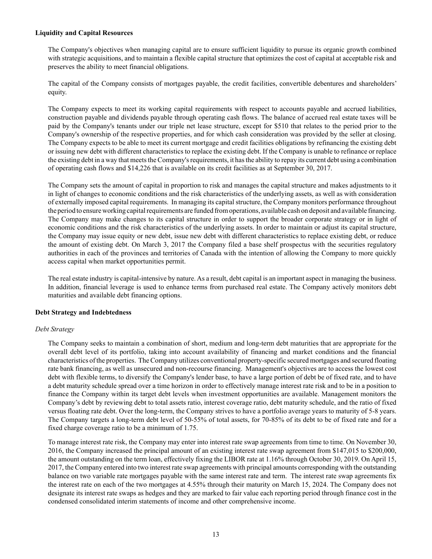## **Liquidity and Capital Resources**

The Company's objectives when managing capital are to ensure sufficient liquidity to pursue its organic growth combined with strategic acquisitions, and to maintain a flexible capital structure that optimizes the cost of capital at acceptable risk and preserves the ability to meet financial obligations.

The capital of the Company consists of mortgages payable, the credit facilities, convertible debentures and shareholders' equity.

The Company expects to meet its working capital requirements with respect to accounts payable and accrued liabilities, construction payable and dividends payable through operating cash flows. The balance of accrued real estate taxes will be paid by the Company's tenants under our triple net lease structure, except for \$510 that relates to the period prior to the Company's ownership of the respective properties, and for which cash consideration was provided by the seller at closing. The Company expects to be able to meet its current mortgage and credit facilities obligations by refinancing the existing debt or issuing new debt with different characteristics to replace the existing debt. If the Company is unable to refinance or replace the existing debt in a way that meets the Company's requirements, it has the ability to repay its current debt using a combination of operating cash flows and \$14,226 that is available on its credit facilities as at September 30, 2017.

The Company sets the amount of capital in proportion to risk and manages the capital structure and makes adjustments to it in light of changes to economic conditions and the risk characteristics of the underlying assets, as well as with consideration of externally imposed capital requirements. In managing its capital structure, the Company monitors performance throughout the period to ensure working capital requirements are funded from operations, available cash on deposit and available financing. The Company may make changes to its capital structure in order to support the broader corporate strategy or in light of economic conditions and the risk characteristics of the underlying assets. In order to maintain or adjust its capital structure, the Company may issue equity or new debt, issue new debt with different characteristics to replace existing debt, or reduce the amount of existing debt. On March 3, 2017 the Company filed a base shelf prospectus with the securities regulatory authorities in each of the provinces and territories of Canada with the intention of allowing the Company to more quickly access capital when market opportunities permit.

The real estate industry is capital-intensive by nature. As a result, debt capital is an important aspect in managing the business. In addition, financial leverage is used to enhance terms from purchased real estate. The Company actively monitors debt maturities and available debt financing options.

## **Debt Strategy and Indebtedness**

#### *Debt Strategy*

The Company seeks to maintain a combination of short, medium and long-term debt maturities that are appropriate for the overall debt level of its portfolio, taking into account availability of financing and market conditions and the financial characteristics of the properties. The Company utilizes conventional property-specific secured mortgages and secured floating rate bank financing, as well as unsecured and non-recourse financing. Management's objectives are to access the lowest cost debt with flexible terms, to diversify the Company's lender base, to have a large portion of debt be of fixed rate, and to have a debt maturity schedule spread over a time horizon in order to effectively manage interest rate risk and to be in a position to finance the Company within its target debt levels when investment opportunities are available. Management monitors the Company's debt by reviewing debt to total assets ratio, interest coverage ratio, debt maturity schedule, and the ratio of fixed versus floating rate debt. Over the long-term, the Company strives to have a portfolio average years to maturity of 5-8 years. The Company targets a long-term debt level of 50-55% of total assets, for 70-85% of its debt to be of fixed rate and for a fixed charge coverage ratio to be a minimum of 1.75.

To manage interest rate risk, the Company may enter into interest rate swap agreements from time to time. On November 30, 2016, the Company increased the principal amount of an existing interest rate swap agreement from \$147,015 to \$200,000, the amount outstanding on the term loan, effectively fixing the LIBOR rate at 1.16% through October 30, 2019. On April 15, 2017, the Company entered into two interest rate swap agreements with principal amounts corresponding with the outstanding balance on two variable rate mortgages payable with the same interest rate and term. The interest rate swap agreements fix the interest rate on each of the two mortgages at 4.55% through their maturity on March 15, 2024. The Company does not designate its interest rate swaps as hedges and they are marked to fair value each reporting period through finance cost in the condensed consolidated interim statements of income and other comprehensive income.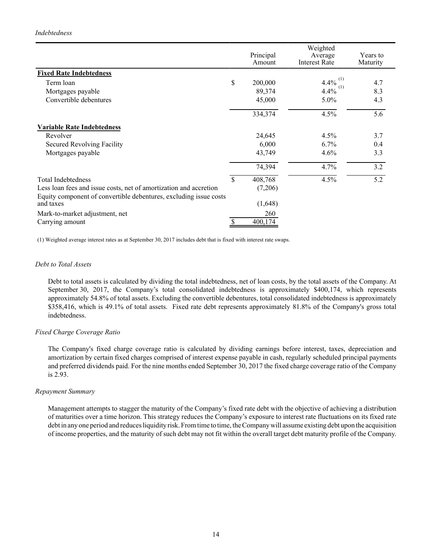## *Indebtedness*

|                                                                                |               | Weighted             |                  |
|--------------------------------------------------------------------------------|---------------|----------------------|------------------|
|                                                                                | Principal     | Average              | Years to         |
|                                                                                | Amount        | <b>Interest Rate</b> | Maturity         |
| <b>Fixed Rate Indebtedness</b>                                                 |               |                      |                  |
| Term loan                                                                      | \$<br>200,000 | 4.4%                 | 4.7              |
| Mortgages payable                                                              | 89,374        | 4.4%                 | 8.3              |
| Convertible debentures                                                         | 45,000        | 5.0%                 | 4.3              |
|                                                                                | 334,374       | 4.5%                 | $\overline{5.6}$ |
| <b>Variable Rate Indebtedness</b>                                              |               |                      |                  |
| Revolver                                                                       | 24,645        | $4.5\%$              | 3.7              |
| <b>Secured Revolving Facility</b>                                              | 6,000         | 6.7%                 | 0.4              |
| Mortgages payable                                                              | 43,749        | 4.6%                 | 3.3              |
|                                                                                | 74,394        | 4.7%                 | 3.2              |
| <b>Total Indebtedness</b>                                                      | \$<br>408,768 | 4.5%                 | $\overline{5.2}$ |
| Less loan fees and issue costs, net of amortization and accretion              | (7,206)       |                      |                  |
| Equity component of convertible debentures, excluding issue costs<br>and taxes | (1,648)       |                      |                  |
| Mark-to-market adjustment, net                                                 | 260           |                      |                  |
| Carrying amount                                                                | 400,174       |                      |                  |

(1) Weighted average interest rates as at September 30, 2017 includes debt that is fixed with interest rate swaps.

#### *Debt to Total Assets*

Debt to total assets is calculated by dividing the total indebtedness, net of loan costs, by the total assets of the Company. At September 30, 2017, the Company's total consolidated indebtedness is approximately \$400,174, which represents approximately 54.8% of total assets. Excluding the convertible debentures, total consolidated indebtedness is approximately \$358,416, which is 49.1% of total assets. Fixed rate debt represents approximately 81.8% of the Company's gross total indebtedness.

#### *Fixed Charge Coverage Ratio*

The Company's fixed charge coverage ratio is calculated by dividing earnings before interest, taxes, depreciation and amortization by certain fixed charges comprised of interest expense payable in cash, regularly scheduled principal payments and preferred dividends paid. For the nine months ended September 30, 2017 the fixed charge coverage ratio of the Company is 2.93.

#### *Repayment Summary*

Management attempts to stagger the maturity of the Company's fixed rate debt with the objective of achieving a distribution of maturities over a time horizon. This strategy reduces the Company's exposure to interest rate fluctuations on its fixed rate debt in any one period and reduces liquidity risk. From time to time, the Company will assume existing debt upon the acquisition of income properties, and the maturity of such debt may not fit within the overall target debt maturity profile of the Company.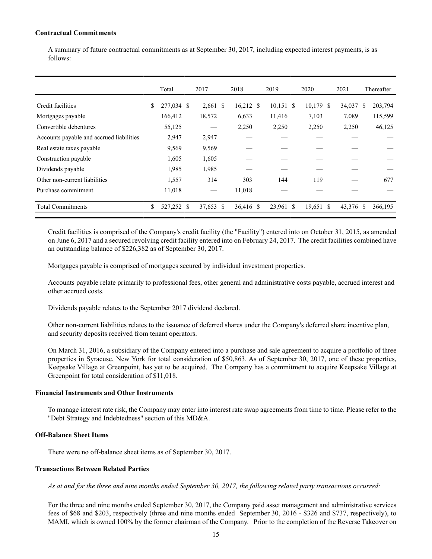#### **Contractual Commitments**

A summary of future contractual commitments as at September 30, 2017, including expected interest payments, is as follows:

|                                          | Total            | 2017     |    | 2018        | 2019        | 2020      | 2021      | Thereafter    |
|------------------------------------------|------------------|----------|----|-------------|-------------|-----------|-----------|---------------|
| Credit facilities                        | \$<br>277,034 \$ | 2,661 \$ |    | $16,212$ \$ | $10,151$ \$ | 10,179 \$ | 34,037    | \$<br>203,794 |
| Mortgages payable                        | 166,412          | 18,572   |    | 6,633       | 11,416      | 7,103     | 7,089     | 115,599       |
| Convertible debentures                   | 55,125           |          |    | 2,250       | 2,250       | 2,250     | 2,250     | 46,125        |
| Accounts payable and accrued liabilities | 2,947            | 2,947    |    |             |             |           |           |               |
| Real estate taxes payable                | 9,569            | 9,569    |    |             |             |           |           |               |
| Construction payable                     | 1,605            | 1,605    |    |             |             |           |           |               |
| Dividends payable                        | 1,985            | 1,985    |    |             |             |           |           |               |
| Other non-current liabilities            | 1,557            | 314      |    | 303         | 144         | 119       |           | 677           |
| Purchase commitment                      | 11,018           |          |    | 11,018      |             |           |           |               |
| <b>Total Commitments</b>                 | \$<br>527,252 \$ | 37,653   | -S | 36,416 \$   | 23,961 \$   | 19,651 \$ | 43,376 \$ | 366,195       |

Credit facilities is comprised of the Company's credit facility (the "Facility") entered into on October 31, 2015, as amended on June 6, 2017 and a secured revolving credit facility entered into on February 24, 2017. The credit facilities combined have an outstanding balance of \$226,382 as of September 30, 2017.

Mortgages payable is comprised of mortgages secured by individual investment properties.

Accounts payable relate primarily to professional fees, other general and administrative costs payable, accrued interest and other accrued costs.

Dividends payable relates to the September 2017 dividend declared.

Other non-current liabilities relates to the issuance of deferred shares under the Company's deferred share incentive plan, and security deposits received from tenant operators.

On March 31, 2016, a subsidiary of the Company entered into a purchase and sale agreement to acquire a portfolio of three properties in Syracuse, New York for total consideration of \$50,863. As of September 30, 2017, one of these properties, Keepsake Village at Greenpoint, has yet to be acquired. The Company has a commitment to acquire Keepsake Village at Greenpoint for total consideration of \$11,018.

## **Financial Instruments and Other Instruments**

To manage interest rate risk, the Company may enter into interest rate swap agreements from time to time. Please refer to the "Debt Strategy and Indebtedness" section of this MD&A.

## **Off-Balance Sheet Items**

There were no off-balance sheet items as of September 30, 2017.

#### **Transactions Between Related Parties**

*As at and for the three and nine months ended September 30, 2017, the following related party transactions occurred:*

For the three and nine months ended September 30, 2017, the Company paid asset management and administrative services fees of \$68 and \$203, respectively (three and nine months ended September 30, 2016 - \$326 and \$737, respectively), to MAMI, which is owned 100% by the former chairman of the Company. Prior to the completion of the Reverse Takeover on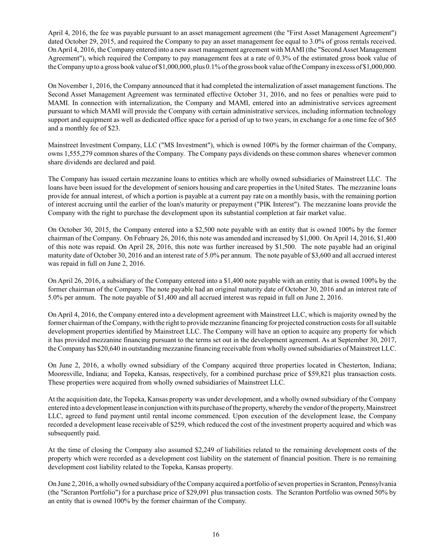April 4, 2016, the fee was payable pursuant to an asset management agreement (the "First Asset Management Agreement") dated October 29, 2015, and required the Company to pay an asset management fee equal to 3.0% of gross rentals received. On April 4, 2016, the Company entered into a new asset management agreement with MAMI (the "Second Asset Management Agreement"), which required the Company to pay management fees at a rate of 0.3% of the estimated gross book value of the Company up to a gross book value of \$1,000,000, plus 0.1% of the gross book value of the Company in excess of \$1,000,000.

On November 1, 2016, the Company announced that it had completed the internalization of asset management functions. The Second Asset Management Agreement was terminated effective October 31, 2016, and no fees or penalties were paid to MAMI. In connection with internalization, the Company and MAMI, entered into an administrative services agreement pursuant to which MAMI will provide the Company with certain administrative services, including information technology support and equipment as well as dedicated office space for a period of up to two years, in exchange for a one time fee of \$65 and a monthly fee of \$23.

Mainstreet Investment Company, LLC ("MS Investment"), which is owned 100% by the former chairman of the Company, owns 1,555,279 common shares of the Company. The Company pays dividends on these common shares whenever common share dividends are declared and paid.

The Company has issued certain mezzanine loans to entities which are wholly owned subsidiaries of Mainstreet LLC. The loans have been issued for the development of seniors housing and care properties in the United States. The mezzanine loans provide for annual interest, of which a portion is payable at a current pay rate on a monthly basis, with the remaining portion of interest accruing until the earlier of the loan's maturity or prepayment ("PIK Interest"). The mezzanine loans provide the Company with the right to purchase the development upon its substantial completion at fair market value.

On October 30, 2015, the Company entered into a \$2,500 note payable with an entity that is owned 100% by the former chairman of the Company. On February 26, 2016, this note was amended and increased by \$1,000. On April 14, 2016, \$1,400 of this note was repaid. On April 28, 2016, this note was further increased by \$1,500. The note payable had an original maturity date of October 30, 2016 and an interest rate of 5.0% per annum. The note payable of \$3,600 and all accrued interest was repaid in full on June 2, 2016.

On April 26, 2016, a subsidiary of the Company entered into a \$1,400 note payable with an entity that is owned 100% by the former chairman of the Company. The note payable had an original maturity date of October 30, 2016 and an interest rate of 5.0% per annum. The note payable of \$1,400 and all accrued interest was repaid in full on June 2, 2016.

On April 4, 2016, the Company entered into a development agreement with Mainstreet LLC, which is majority owned by the former chairman of the Company, with the right to provide mezzanine financing for projected construction costs for all suitable development properties identified by Mainstreet LLC. The Company will have an option to acquire any property for which it has provided mezzanine financing pursuant to the terms set out in the development agreement. As at September 30, 2017, the Company has \$20,640 in outstanding mezzanine financing receivable from wholly owned subsidiaries of Mainstreet LLC.

On June 2, 2016, a wholly owned subsidiary of the Company acquired three properties located in Chesterton, Indiana; Mooresville, Indiana; and Topeka, Kansas, respectively, for a combined purchase price of \$59,821 plus transaction costs. These properties were acquired from wholly owned subsidiaries of Mainstreet LLC.

At the acquisition date, the Topeka, Kansas property was under development, and a wholly owned subsidiary of the Company entered into a development lease in conjunction with its purchase of the property, whereby the vendor of the property, Mainstreet LLC, agreed to fund payment until rental income commenced. Upon execution of the development lease, the Company recorded a development lease receivable of \$259, which reduced the cost of the investment property acquired and which was subsequently paid.

At the time of closing the Company also assumed \$2,249 of liabilities related to the remaining development costs of the property which were recorded as a development cost liability on the statement of financial position. There is no remaining development cost liability related to the Topeka, Kansas property.

On June 2, 2016, a wholly owned subsidiary of the Company acquired a portfolio of seven properties in Scranton, Pennsylvania (the "Scranton Portfolio") for a purchase price of \$29,091 plus transaction costs. The Scranton Portfolio was owned 50% by an entity that is owned 100% by the former chairman of the Company.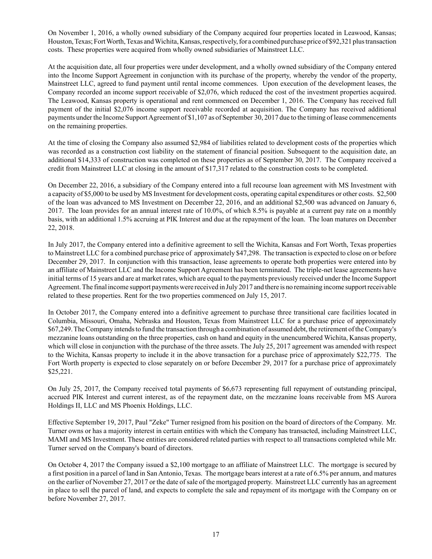On November 1, 2016, a wholly owned subsidiary of the Company acquired four properties located in Leawood, Kansas; Houston, Texas; Fort Worth, Texas and Wichita, Kansas, respectively, for a combined purchase price of \$92,321 plus transaction costs. These properties were acquired from wholly owned subsidiaries of Mainstreet LLC.

At the acquisition date, all four properties were under development, and a wholly owned subsidiary of the Company entered into the Income Support Agreement in conjunction with its purchase of the property, whereby the vendor of the property, Mainstreet LLC, agreed to fund payment until rental income commences. Upon execution of the development leases, the Company recorded an income support receivable of \$2,076, which reduced the cost of the investment properties acquired. The Leawood, Kansas property is operational and rent commenced on December 1, 2016. The Company has received full payment of the initial \$2,076 income support receivable recorded at acquisition. The Company has received additional payments under the Income Support Agreement of \$1,107 as of September 30, 2017 due to the timing of lease commencements on the remaining properties.

At the time of closing the Company also assumed \$2,984 of liabilities related to development costs of the properties which was recorded as a construction cost liability on the statement of financial position. Subsequent to the acquisition date, an additional \$14,333 of construction was completed on these properties as of September 30, 2017. The Company received a credit from Mainstreet LLC at closing in the amount of \$17,317 related to the construction costs to be completed.

On December 22, 2016, a subsidiary of the Company entered into a full recourse loan agreement with MS Investment with a capacity of \$5,000 to be used by MS Investment for development costs, operating capital expenditures or other costs. \$2,500 of the loan was advanced to MS Investment on December 22, 2016, and an additional \$2,500 was advanced on January 6, 2017. The loan provides for an annual interest rate of 10.0%, of which 8.5% is payable at a current pay rate on a monthly basis, with an additional 1.5% accruing at PIK Interest and due at the repayment of the loan. The loan matures on December 22, 2018.

In July 2017, the Company entered into a definitive agreement to sell the Wichita, Kansas and Fort Worth, Texas properties to Mainstreet LLC for a combined purchase price of approximately \$47,298. The transaction is expected to close on or before December 29, 2017. In conjunction with this transaction, lease agreements to operate both properties were entered into by an affiliate of Mainstreet LLC and the Income Support Agreement has been terminated. The triple-net lease agreements have initial terms of 15 years and are at market rates, which are equal to the payments previously received under the Income Support Agreement. The final income support payments were received in July 2017 and there is no remaining income support receivable related to these properties. Rent for the two properties commenced on July 15, 2017.

In October 2017, the Company entered into a definitive agreement to purchase three transitional care facilities located in Columbia, Missouri, Omaha, Nebraska and Houston, Texas from Mainstreet LLC for a purchase price of approximately \$67,249. The Company intends to fund the transaction through a combination of assumed debt, the retirement of the Company's mezzanine loans outstanding on the three properties, cash on hand and equity in the unencumbered Wichita, Kansas property, which will close in conjunction with the purchase of the three assets. The July 25, 2017 agreement was amended with respect to the Wichita, Kansas property to include it in the above transaction for a purchase price of approximately \$22,775. The Fort Worth property is expected to close separately on or before December 29, 2017 for a purchase price of approximately \$25,221.

On July 25, 2017, the Company received total payments of \$6,673 representing full repayment of outstanding principal, accrued PIK Interest and current interest, as of the repayment date, on the mezzanine loans receivable from MS Aurora Holdings II, LLC and MS Phoenix Holdings, LLC.

Effective September 19, 2017, Paul "Zeke" Turner resigned from his position on the board of directors of the Company. Mr. Turner owns or has a majority interest in certain entities with which the Company has transacted, including Mainstreet LLC, MAMI and MS Investment. These entities are considered related parties with respect to all transactions completed while Mr. Turner served on the Company's board of directors.

On October 4, 2017 the Company issued a \$2,100 mortgage to an affiliate of Mainstreet LLC. The mortgage is secured by a first position in a parcel of land in San Antonio, Texas. The mortgage bears interest at a rate of 6.5% per annum, and matures on the earlier of November 27, 2017 or the date of sale of the mortgaged property. Mainstreet LLC currently has an agreement in place to sell the parcel of land, and expects to complete the sale and repayment of its mortgage with the Company on or before November 27, 2017.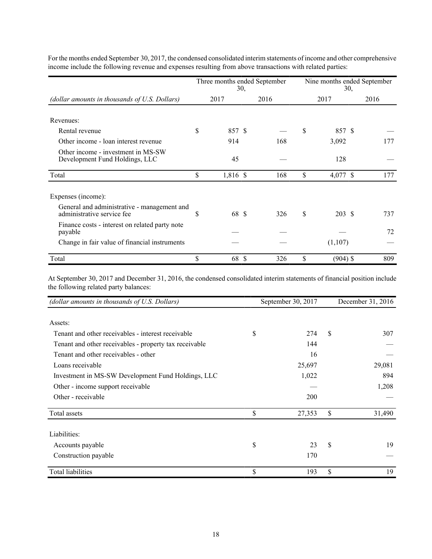|                                                                           |    |          | 30, | Three months ended September | Nine months ended September<br>30, |            |      |  |  |  |
|---------------------------------------------------------------------------|----|----------|-----|------------------------------|------------------------------------|------------|------|--|--|--|
| (dollar amounts in thousands of U.S. Dollars)                             |    | 2017     |     | 2016                         |                                    | 2017       | 2016 |  |  |  |
| Revenues:                                                                 |    |          |     |                              |                                    |            |      |  |  |  |
| Rental revenue                                                            | \$ | 857 \$   |     |                              | S                                  | 857 \$     |      |  |  |  |
| Other income - loan interest revenue                                      |    | 914      |     | 168                          |                                    | 3,092      | 177  |  |  |  |
| Other income - investment in MS-SW<br>Development Fund Holdings, LLC      |    | 45       |     |                              |                                    | 128        |      |  |  |  |
| Total                                                                     | \$ | 1,816 \$ |     | 168                          | \$                                 | 4,077 \$   | 177  |  |  |  |
| Expenses (income):                                                        |    |          |     |                              |                                    |            |      |  |  |  |
| General and administrative - management and<br>administrative service fee | \$ | 68 \$    |     | 326                          | \$                                 | 203 \$     | 737  |  |  |  |
| Finance costs - interest on related party note<br>payable                 |    |          |     |                              |                                    |            | 72   |  |  |  |
| Change in fair value of financial instruments                             |    |          |     |                              |                                    | (1,107)    |      |  |  |  |
| Total                                                                     | \$ | 68       | S   | 326                          | \$                                 | $(904)$ \$ | 809  |  |  |  |

For the months ended September 30, 2017, the condensed consolidated interim statements of income and other comprehensive income include the following revenue and expenses resulting from above transactions with related parties:

At September 30, 2017 and December 31, 2016, the condensed consolidated interim statements of financial position include the following related party balances:

| (dollar amounts in thousands of U.S. Dollars)          | September 30, 2017 |    | December 31, 2016 |
|--------------------------------------------------------|--------------------|----|-------------------|
|                                                        |                    |    |                   |
| Assets:                                                |                    |    |                   |
| Tenant and other receivables - interest receivable     | \$<br>274          | S  | 307               |
| Tenant and other receivables - property tax receivable | 144                |    |                   |
| Tenant and other receivables - other                   | 16                 |    |                   |
| Loans receivable                                       | 25,697             |    | 29,081            |
| Investment in MS-SW Development Fund Holdings, LLC     | 1,022              |    | 894               |
| Other - income support receivable                      |                    |    | 1,208             |
| Other - receivable                                     | 200                |    |                   |
| Total assets                                           | \$<br>27,353       | \$ | 31,490            |
| Liabilities:                                           |                    |    |                   |
| Accounts payable                                       | \$<br>23           | \$ | 19                |
| Construction payable                                   | 170                |    |                   |
| <b>Total liabilities</b>                               | \$<br>193          | \$ | 19                |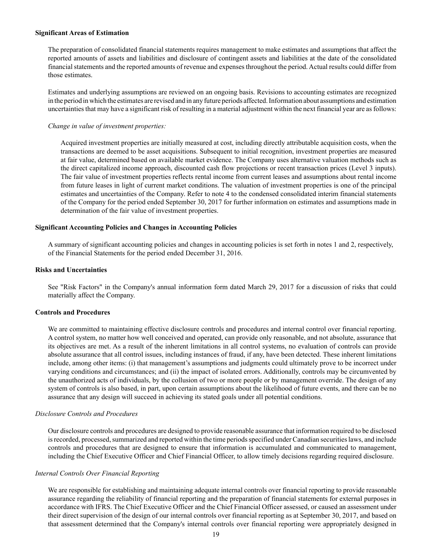#### **Significant Areas of Estimation**

The preparation of consolidated financial statements requires management to make estimates and assumptions that affect the reported amounts of assets and liabilities and disclosure of contingent assets and liabilities at the date of the consolidated financial statements and the reported amounts of revenue and expenses throughout the period. Actual results could differ from those estimates.

Estimates and underlying assumptions are reviewed on an ongoing basis. Revisions to accounting estimates are recognized in the period in which the estimates are revised and in any future periods affected. Information about assumptions and estimation uncertainties that may have a significant risk of resulting in a material adjustment within the next financial year are as follows:

#### *Change in value of investment properties:*

Acquired investment properties are initially measured at cost, including directly attributable acquisition costs, when the transactions are deemed to be asset acquisitions. Subsequent to initial recognition, investment properties are measured at fair value, determined based on available market evidence. The Company uses alternative valuation methods such as the direct capitalized income approach, discounted cash flow projections or recent transaction prices (Level 3 inputs). The fair value of investment properties reflects rental income from current leases and assumptions about rental income from future leases in light of current market conditions. The valuation of investment properties is one of the principal estimates and uncertainties of the Company. Refer to note 4 to the condensed consolidated interim financial statements of the Company for the period ended September 30, 2017 for further information on estimates and assumptions made in determination of the fair value of investment properties.

#### **Significant Accounting Policies and Changes in Accounting Policies**

A summary of significant accounting policies and changes in accounting policies is set forth in notes 1 and 2, respectively, of the Financial Statements for the period ended December 31, 2016.

#### **Risks and Uncertainties**

See "Risk Factors" in the Company's annual information form dated March 29, 2017 for a discussion of risks that could materially affect the Company.

#### **Controls and Procedures**

We are committed to maintaining effective disclosure controls and procedures and internal control over financial reporting. A control system, no matter how well conceived and operated, can provide only reasonable, and not absolute, assurance that its objectives are met. As a result of the inherent limitations in all control systems, no evaluation of controls can provide absolute assurance that all control issues, including instances of fraud, if any, have been detected. These inherent limitations include, among other items: (i) that management's assumptions and judgments could ultimately prove to be incorrect under varying conditions and circumstances; and (ii) the impact of isolated errors. Additionally, controls may be circumvented by the unauthorized acts of individuals, by the collusion of two or more people or by management override. The design of any system of controls is also based, in part, upon certain assumptions about the likelihood of future events, and there can be no assurance that any design will succeed in achieving its stated goals under all potential conditions.

#### *Disclosure Controls and Procedures*

Our disclosure controls and procedures are designed to provide reasonable assurance that information required to be disclosed is recorded, processed, summarized and reported within the time periods specified under Canadian securities laws, and include controls and procedures that are designed to ensure that information is accumulated and communicated to management, including the Chief Executive Officer and Chief Financial Officer, to allow timely decisions regarding required disclosure.

#### *Internal Controls Over Financial Reporting*

We are responsible for establishing and maintaining adequate internal controls over financial reporting to provide reasonable assurance regarding the reliability of financial reporting and the preparation of financial statements for external purposes in accordance with IFRS. The Chief Executive Officer and the Chief Financial Officer assessed, or caused an assessment under their direct supervision of the design of our internal controls over financial reporting as at September 30, 2017, and based on that assessment determined that the Company's internal controls over financial reporting were appropriately designed in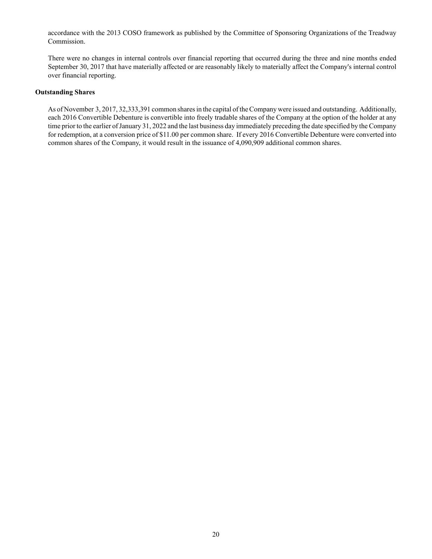accordance with the 2013 COSO framework as published by the Committee of Sponsoring Organizations of the Treadway Commission.

There were no changes in internal controls over financial reporting that occurred during the three and nine months ended September 30, 2017 that have materially affected or are reasonably likely to materially affect the Company's internal control over financial reporting.

#### **Outstanding Shares**

As of November 3, 2017, 32,333,391 common shares in the capital of the Company were issued and outstanding. Additionally, each 2016 Convertible Debenture is convertible into freely tradable shares of the Company at the option of the holder at any time prior to the earlier of January 31, 2022 and the last business day immediately preceding the date specified by the Company for redemption, at a conversion price of \$11.00 per common share. If every 2016 Convertible Debenture were converted into common shares of the Company, it would result in the issuance of 4,090,909 additional common shares.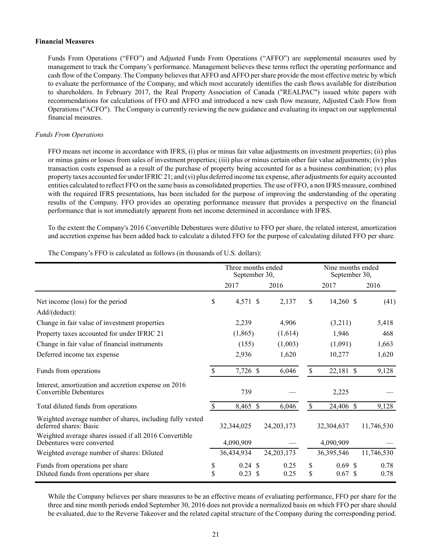#### **Financial Measures**

Funds From Operations ("FFO") and Adjusted Funds From Operations ("AFFO") are supplemental measures used by management to track the Company's performance. Management believes these terms reflect the operating performance and cash flow of the Company. The Company believes that AFFO and AFFO per share provide the most effective metric by which to evaluate the performance of the Company, and which most accurately identifies the cash flows available for distribution to shareholders. In February 2017, the Real Property Association of Canada ("REALPAC") issued white papers with recommendations for calculations of FFO and AFFO and introduced a new cash flow measure, Adjusted Cash Flow from Operations ("ACFO"). The Company is currently reviewing the new guidance and evaluating its impact on our supplemental financial measures.

#### *Funds From Operations*

FFO means net income in accordance with IFRS, (i) plus or minus fair value adjustments on investment properties; (ii) plus or minus gains or losses from sales of investment properties; (iii) plus or minus certain other fair value adjustments; (iv) plus transaction costs expensed as a result of the purchase of property being accounted for as a business combination; (v) plus property taxes accounted for under IFRIC 21; and (vi) plus deferred income tax expense, after adjustments for equity accounted entities calculated to reflect FFO on the same basis as consolidated properties. The use of FFO, a non IFRS measure, combined with the required IFRS presentations, has been included for the purpose of improving the understanding of the operating results of the Company. FFO provides an operating performance measure that provides a perspective on the financial performance that is not immediately apparent from net income determined in accordance with IFRS.

To the extent the Company's 2016 Convertible Debentures were dilutive to FFO per share, the related interest, amortization and accretion expense has been added back to calculate a diluted FFO for the purpose of calculating diluted FFO per share.

|                                                                                       | Three months ended<br>September 30, |                       |               |              | Nine months ended<br>September 30, |                    |            |  |
|---------------------------------------------------------------------------------------|-------------------------------------|-----------------------|---------------|--------------|------------------------------------|--------------------|------------|--|
|                                                                                       |                                     | 2017                  |               | 2016         |                                    | 2017               | 2016       |  |
| Net income (loss) for the period                                                      | $\mathsf{\$}$                       | 4,571 \$              |               | 2,137        | \$                                 | 14,260 \$          | (41)       |  |
| Add/(deduct):                                                                         |                                     |                       |               |              |                                    |                    |            |  |
| Change in fair value of investment properties                                         |                                     | 2,239                 |               | 4,906        |                                    | (3,211)            | 5,418      |  |
| Property taxes accounted for under IFRIC 21                                           |                                     | (1,865)               |               | (1,614)      |                                    | 1,946              | 468        |  |
| Change in fair value of financial instruments                                         |                                     | (155)                 |               | (1,003)      |                                    | (1,091)            | 1,663      |  |
| Deferred income tax expense                                                           |                                     | 2,936                 |               | 1,620        |                                    | 10,277             | 1,620      |  |
| Funds from operations                                                                 | $\mathsf{\$}$                       | 7,726 \$              |               | 6,046        | $\mathsf{\$}$                      | 22,181 \$          | 9,128      |  |
| Interest, amortization and accretion expense on 2016<br><b>Convertible Debentures</b> |                                     | 739                   |               |              |                                    | 2,225              |            |  |
| Total diluted funds from operations                                                   | \$.                                 | 8,465 $\overline{\$}$ |               | 6,046        | \$                                 | 24,406 \$          | 9,128      |  |
| Weighted average number of shares, including fully vested<br>deferred shares: Basic   |                                     | 32,344,025            |               | 24, 203, 173 |                                    | 32,304,637         | 11,746,530 |  |
| Weighted average shares issued if all 2016 Convertible<br>Debentures were converted   |                                     | 4,090,909             |               |              |                                    | 4,090,909          |            |  |
| Weighted average number of shares: Diluted                                            |                                     | 36,434,934            |               | 24, 203, 173 |                                    | 36,395,546         | 11,746,530 |  |
| Funds from operations per share                                                       | \$                                  | $0.24 \text{ } $s$    |               | 0.25         | \$                                 | $0.69$ \$          | 0.78       |  |
| Diluted funds from operations per share                                               | \$                                  | 0.23                  | <sup>\$</sup> | 0.25         | \$                                 | $0.67 \text{ }$ \$ | 0.78       |  |

The Company's FFO is calculated as follows (in thousands of U.S. dollars):

While the Company believes per share measures to be an effective means of evaluating performance, FFO per share for the three and nine month periods ended September 30, 2016 does not provide a normalized basis on which FFO per share should be evaluated, due to the Reverse Takeover and the related capital structure of the Company during the corresponding period.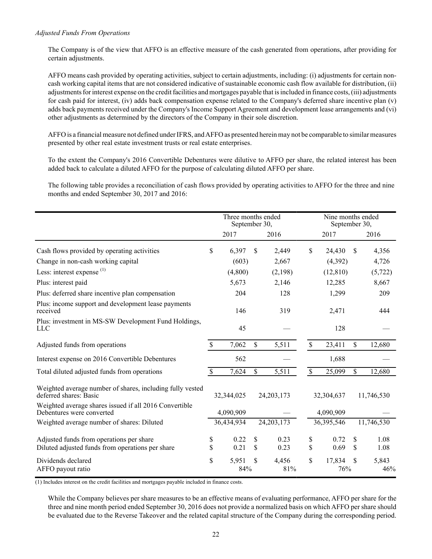## *Adjusted Funds From Operations*

The Company is of the view that AFFO is an effective measure of the cash generated from operations, after providing for certain adjustments.

AFFO means cash provided by operating activities, subject to certain adjustments, including: (i) adjustments for certain noncash working capital items that are not considered indicative of sustainable economic cash flow available for distribution, (ii) adjustments for interest expense on the credit facilities and mortgages payable that is included in finance costs, (iii) adjustments for cash paid for interest, (iv) adds back compensation expense related to the Company's deferred share incentive plan (v) adds back payments received under the Company's Income Support Agreement and development lease arrangements and (vi) other adjustments as determined by the directors of the Company in their sole discretion.

AFFO is a financial measure not defined under IFRS, and AFFO as presented herein may not be comparable to similar measures presented by other real estate investment trusts or real estate enterprises.

To the extent the Company's 2016 Convertible Debentures were dilutive to AFFO per share, the related interest has been added back to calculate a diluted AFFO for the purpose of calculating diluted AFFO per share.

The following table provides a reconciliation of cash flows provided by operating activities to AFFO for the three and nine months and ended September 30, 2017 and 2016:

|                                                                                     | Three months ended<br>September 30, |            |    |              |                           | Nine months ended<br>September 30, |    |            |
|-------------------------------------------------------------------------------------|-------------------------------------|------------|----|--------------|---------------------------|------------------------------------|----|------------|
|                                                                                     |                                     | 2017       |    | 2016         |                           | 2017                               |    | 2016       |
| Cash flows provided by operating activities                                         | \$                                  | 6,397      | \$ | 2,449        | \$                        | 24,430                             | S  | 4,356      |
| Change in non-cash working capital                                                  |                                     | (603)      |    | 2,667        |                           | (4,392)                            |    | 4,726      |
| Less: interest expense $(1)$                                                        |                                     | (4,800)    |    | (2,198)      |                           | (12, 810)                          |    | (5, 722)   |
| Plus: interest paid                                                                 |                                     | 5,673      |    | 2,146        |                           | 12,285                             |    | 8,667      |
| Plus: deferred share incentive plan compensation                                    |                                     | 204        |    | 128          |                           | 1,299                              |    | 209        |
| Plus: income support and development lease payments<br>received                     |                                     | 146        |    | 319          |                           | 2,471                              |    | 444        |
| Plus: investment in MS-SW Development Fund Holdings,<br>LLC                         |                                     | 45         |    |              |                           | 128                                |    |            |
| Adjusted funds from operations                                                      | \$                                  | 7,062      | \$ | 5,511        | \$                        | 23,411                             | \$ | 12,680     |
| Interest expense on 2016 Convertible Debentures                                     |                                     | 562        |    |              |                           | 1,688                              |    |            |
| Total diluted adjusted funds from operations                                        | \$                                  | 7,624      | \$ | 5,511        | $\boldsymbol{\mathsf{S}}$ | 25,099                             | \$ | 12,680     |
| Weighted average number of shares, including fully vested<br>deferred shares: Basic |                                     | 32,344,025 |    | 24, 203, 173 |                           | 32,304,637                         |    | 11,746,530 |
| Weighted average shares issued if all 2016 Convertible<br>Debentures were converted |                                     | 4,090,909  |    |              |                           | 4,090,909                          |    |            |
| Weighted average number of shares: Diluted                                          |                                     | 36,434,934 |    | 24, 203, 173 |                           | 36,395,546                         |    | 11,746,530 |
| Adjusted funds from operations per share                                            | \$                                  | 0.22       | \$ | 0.23         | \$                        | 0.72                               | \$ | 1.08       |
| Diluted adjusted funds from operations per share                                    | \$                                  | 0.21       | \$ | 0.23         | \$                        | 0.69                               | \$ | 1.08       |
| Dividends declared                                                                  | \$                                  | 5,951      | \$ | 4,456        | \$                        | 17,834                             | S  | 5,843      |
| AFFO payout ratio                                                                   |                                     | 84%        |    | 81%          |                           | 76%                                |    | 46%        |

(1) Includes interest on the credit facilities and mortgages payable included in finance costs.

While the Company believes per share measures to be an effective means of evaluating performance, AFFO per share for the three and nine month period ended September 30, 2016 does not provide a normalized basis on which AFFO per share should be evaluated due to the Reverse Takeover and the related capital structure of the Company during the corresponding period.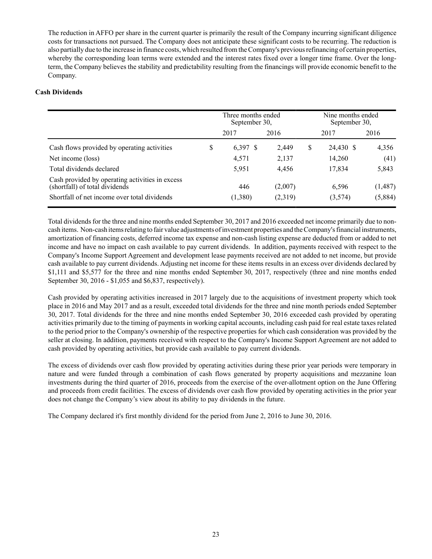The reduction in AFFO per share in the current quarter is primarily the result of the Company incurring significant diligence costs for transactions not pursued. The Company does not anticipate these significant costs to be recurring. The reduction is also partially due to the increase in finance costs, which resulted from the Company's previous refinancing of certain properties, whereby the corresponding loan terms were extended and the interest rates fixed over a longer time frame. Over the longterm, the Company believes the stability and predictability resulting from the financings will provide economic benefit to the Company.

## **Cash Dividends**

|                                                                                   | Three months ended<br>September 30, |         | Nine months ended<br>September 30, |           |         |  |  |
|-----------------------------------------------------------------------------------|-------------------------------------|---------|------------------------------------|-----------|---------|--|--|
|                                                                                   | 2017                                | 2016    |                                    | 2017      | 2016    |  |  |
| Cash flows provided by operating activities                                       | \$<br>$6,397$ \$                    | 2,449   | \$                                 | 24,430 \$ | 4,356   |  |  |
| Net income (loss)                                                                 | 4,571                               | 2,137   |                                    | 14,260    | (41)    |  |  |
| Total dividends declared                                                          | 5,951                               | 4,456   |                                    | 17,834    | 5,843   |  |  |
| Cash provided by operating activities in excess<br>(shortfall) of total dividends | 446                                 | (2,007) |                                    | 6,596     | (1,487) |  |  |
| Shortfall of net income over total dividends                                      | (1,380)                             | (2,319) |                                    | (3,574)   | (5,884) |  |  |

Total dividends for the three and nine months ended September 30, 2017 and 2016 exceeded net income primarily due to noncash items. Non-cash items relating to fair value adjustments of investment properties and the Company's financial instruments, amortization of financing costs, deferred income tax expense and non-cash listing expense are deducted from or added to net income and have no impact on cash available to pay current dividends. In addition, payments received with respect to the Company's Income Support Agreement and development lease payments received are not added to net income, but provide cash available to pay current dividends. Adjusting net income for these items results in an excess over dividends declared by \$1,111 and \$5,577 for the three and nine months ended September 30, 2017, respectively (three and nine months ended September 30, 2016 - \$1,055 and \$6,837, respectively).

Cash provided by operating activities increased in 2017 largely due to the acquisitions of investment property which took place in 2016 and May 2017 and as a result, exceeded total dividends for the three and nine month periods ended September 30, 2017. Total dividends for the three and nine months ended September 30, 2016 exceeded cash provided by operating activities primarily due to the timing of payments in working capital accounts, including cash paid for real estate taxes related to the period prior to the Company's ownership of the respective properties for which cash consideration was provided by the seller at closing. In addition, payments received with respect to the Company's Income Support Agreement are not added to cash provided by operating activities, but provide cash available to pay current dividends.

The excess of dividends over cash flow provided by operating activities during these prior year periods were temporary in nature and were funded through a combination of cash flows generated by property acquisitions and mezzanine loan investments during the third quarter of 2016, proceeds from the exercise of the over-allotment option on the June Offering and proceeds from credit facilities. The excess of dividends over cash flow provided by operating activities in the prior year does not change the Company's view about its ability to pay dividends in the future.

The Company declared it's first monthly dividend for the period from June 2, 2016 to June 30, 2016.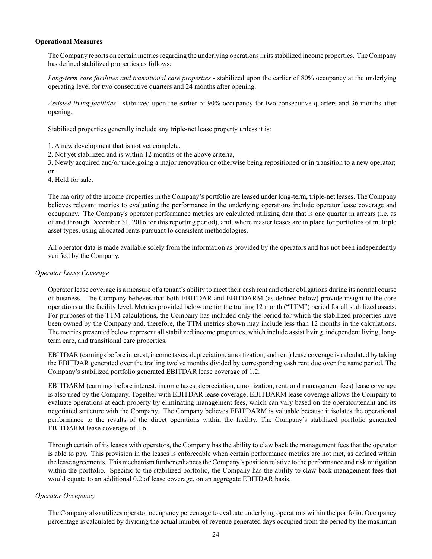#### **Operational Measures**

The Company reports on certain metrics regarding the underlying operations in its stabilized income properties. The Company has defined stabilized properties as follows:

*Long-term care facilities and transitional care properties* - stabilized upon the earlier of 80% occupancy at the underlying operating level for two consecutive quarters and 24 months after opening.

*Assisted living facilities* - stabilized upon the earlier of 90% occupancy for two consecutive quarters and 36 months after opening.

Stabilized properties generally include any triple-net lease property unless it is:

1. A new development that is not yet complete,

2. Not yet stabilized and is within 12 months of the above criteria,

3. Newly acquired and/or undergoing a major renovation or otherwise being repositioned or in transition to a new operator; or

4. Held for sale.

The majority of the income properties in the Company's portfolio are leased under long-term, triple-net leases. The Company believes relevant metrics to evaluating the performance in the underlying operations include operator lease coverage and occupancy. The Company's operator performance metrics are calculated utilizing data that is one quarter in arrears (i.e. as of and through December 31, 2016 for this reporting period), and, where master leases are in place for portfolios of multiple asset types, using allocated rents pursuant to consistent methodologies.

All operator data is made available solely from the information as provided by the operators and has not been independently verified by the Company.

#### *Operator Lease Coverage*

Operator lease coverage is a measure of a tenant's ability to meet their cash rent and other obligations during its normal course of business. The Company believes that both EBITDAR and EBITDARM (as defined below) provide insight to the core operations at the facility level. Metrics provided below are for the trailing 12 month ("TTM") period for all stabilized assets. For purposes of the TTM calculations, the Company has included only the period for which the stabilized properties have been owned by the Company and, therefore, the TTM metrics shown may include less than 12 months in the calculations. The metrics presented below represent all stabilized income properties, which include assist living, independent living, longterm care, and transitional care properties.

EBITDAR (earnings before interest, income taxes, depreciation, amortization, and rent) lease coverage is calculated by taking the EBITDAR generated over the trailing twelve months divided by corresponding cash rent due over the same period. The Company's stabilized portfolio generated EBITDAR lease coverage of 1.2.

EBITDARM (earnings before interest, income taxes, depreciation, amortization, rent, and management fees) lease coverage is also used by the Company. Together with EBITDAR lease coverage, EBITDARM lease coverage allows the Company to evaluate operations at each property by eliminating management fees, which can vary based on the operator/tenant and its negotiated structure with the Company. The Company believes EBITDARM is valuable because it isolates the operational performance to the results of the direct operations within the facility. The Company's stabilized portfolio generated EBITDARM lease coverage of 1.6.

Through certain of its leases with operators, the Company has the ability to claw back the management fees that the operator is able to pay. This provision in the leases is enforceable when certain performance metrics are not met, as defined within the lease agreements. This mechanism further enhances the Company's position relative to the performance and risk mitigation within the portfolio. Specific to the stabilized portfolio, the Company has the ability to claw back management fees that would equate to an additional 0.2 of lease coverage, on an aggregate EBITDAR basis.

## *Operator Occupancy*

The Company also utilizes operator occupancy percentage to evaluate underlying operations within the portfolio. Occupancy percentage is calculated by dividing the actual number of revenue generated days occupied from the period by the maximum